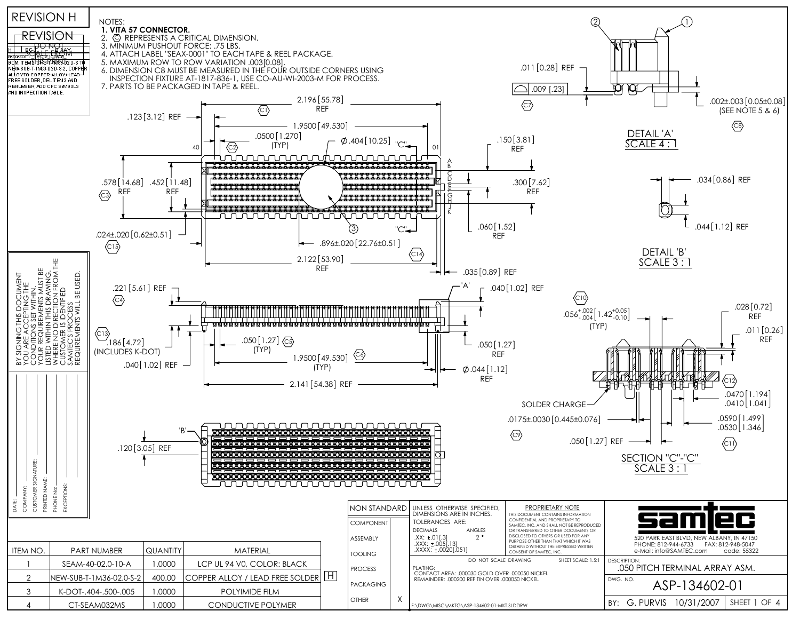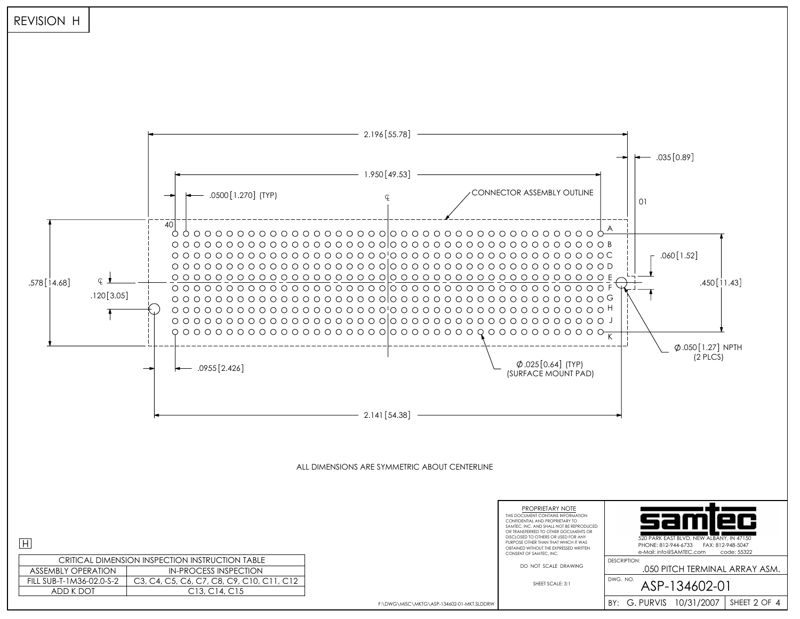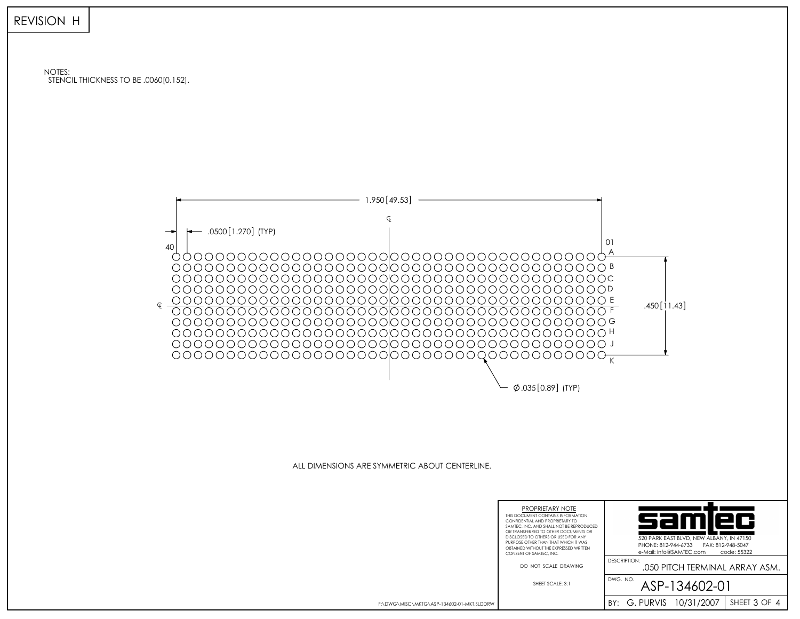

NOTES: STENCIL THICKNESS TO BE .0060[0.152].



ALL DIMENSIONS ARE SYMMETRIC ABOUT CENTERLINE.



F:\DWG\MISC\MKTG\ASP-134602-01-MKT.SLDDRW